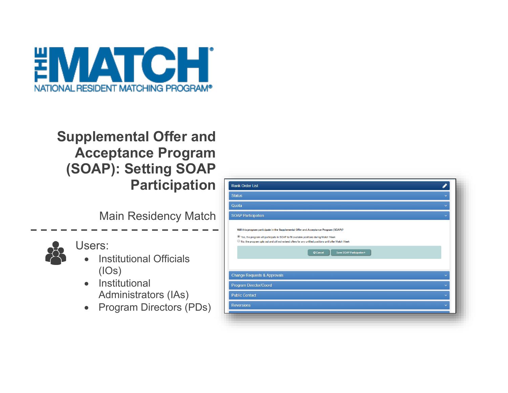

# **Supplemental Offer and Acceptance Program (SOAP): Setting SOAP Participation**

Main Residency Match



Users:

- **Institutional Officials** (IOs)
- Institutional Administrators (IAs)
- Program Directors (PDs)

| <b>Rank Order List</b>                                                                                                                                                                                                                                                                                                     |                           |  |
|----------------------------------------------------------------------------------------------------------------------------------------------------------------------------------------------------------------------------------------------------------------------------------------------------------------------------|---------------------------|--|
| <b>Status</b>                                                                                                                                                                                                                                                                                                              | $\checkmark$              |  |
| Quota                                                                                                                                                                                                                                                                                                                      | $\ddotmark$               |  |
| <b>SOAP Participation</b>                                                                                                                                                                                                                                                                                                  | $\checkmark$              |  |
| Will this program participate in the Supplemental Offer and Acceptance Program (SOAP)?<br><sup>®</sup> Yes, the program will participate in SOAP to fill available positions during Match Week<br>No, the program opts out and will not extend offers for any unfilled positions until after Match Week<br><b>Ø</b> Cancel | Save SOAP Participation > |  |
| <b>Change Requests &amp; Approvals</b>                                                                                                                                                                                                                                                                                     |                           |  |
| Program Director/Coord                                                                                                                                                                                                                                                                                                     | $\checkmark$              |  |
| <b>Public Contact</b>                                                                                                                                                                                                                                                                                                      | $\checkmark$              |  |
|                                                                                                                                                                                                                                                                                                                            |                           |  |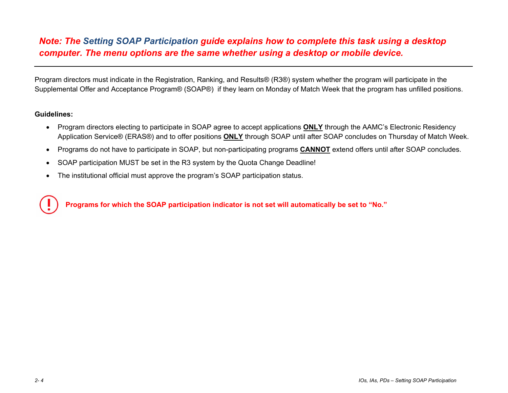# *Note: The Setting SOAP Participation guide explains how to complete this task using a desktop computer. The menu options are the same whether using a desktop or mobile device.*

Program directors must indicate in the Registration, Ranking, and Results® (R3®) system whether the program will participate in the Supplemental Offer and Acceptance Program® (SOAP®) if they learn on Monday of Match Week that the program has unfilled positions.

#### **Guidelines:**

- Program directors electing to participate in SOAP agree to accept applications **ONLY** through the AAMC's Electronic Residency Application Service® (ERAS®) and to offer positions **ONLY** through SOAP until after SOAP concludes on Thursday of Match Week.
- Programs do not have to participate in SOAP, but non-participating programs **CANNOT** extend offers until after SOAP concludes.
- SOAP participation MUST be set in the R3 system by the Quota Change Deadline!
- The institutional official must approve the program's SOAP participation status.

**Programs for which the SOAP participation indicator is not set will automatically be set to "No."**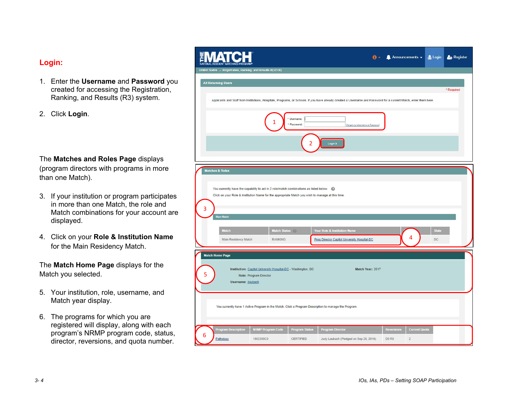### **Login:**

- 1. Enter the **Username** and **Password** you created for accessing the Registration, Ranking, and Results (R3) system.
- 2. Click **Login**.

## The **Matches and Roles Page** displays

(program directors with programs in more than one Match).

- 3. If your institution or program participates in more than one Match, the role and Match combinations for your account are displayed.
- 4. Click on your **Role & Institution Name** for the Main Residency Match.

The **Match Home Page** displays for the Match you selected.

- 5. Your institution, role, username, and Match year display.
- 6. The programs for which you are registered will display, along with each program's NRMP program code, status, director, reversions, and quota number.